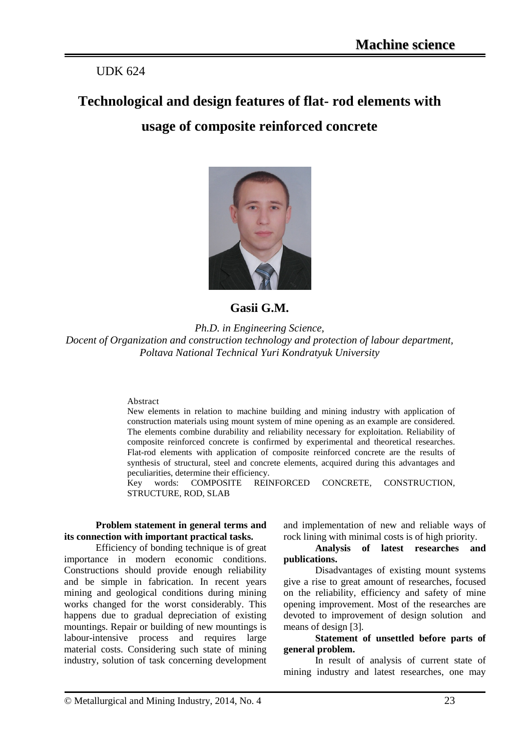# UDK 624

# **Technological and design features of flat- rod elements with usage of composite reinforced concrete**



## **Gasii G.M.**

*Ph.D. in Engineering Science, Docent of Organization and construction technology and protection of labour department, Poltava National Technical Yuri Kondratyuk University* 

#### Abstract

New elements in relation to machine building and mining industry with application of construction materials using mount system of mine opening as an example are considered. The elements combine durability and reliability necessary for exploitation. Reliability of composite reinforced concrete is confirmed by experimental and theoretical researches. Flat-rod elements with application of composite reinforced concrete are the results of synthesis of structural, steel and concrete elements, acquired during this advantages and peculiarities, determine their efficiency.

Key words: COMPOSITE REINFORCED CONCRETE, CONSTRUCTION, STRUCTURE, ROD, SLAB

#### **Problem statement in general terms and its connection with important practical tasks.**

Efficiency of bonding technique is of great importance in modern economic conditions. Constructions should provide enough reliability and be simple in fabrication. In recent years mining and geological conditions during mining works changed for the worst considerably. This happens due to gradual depreciation of existing mountings. Repair or building of new mountings is labour-intensive process and requires large material costs. Considering such state of mining industry, solution of task concerning development and implementation of new and reliable ways of rock lining with minimal costs is of high priority.

#### **Analysis of latest researches and publications.**

Disadvantages of existing mount systems give a rise to great amount of researches, focused on the reliability, efficiency and safety of mine opening improvement. Most of the researches are devoted to improvement of design solution and means of design [3].

#### **Statement of unsettled before parts of general problem.**

In result of analysis of current state of mining industry and latest researches, one may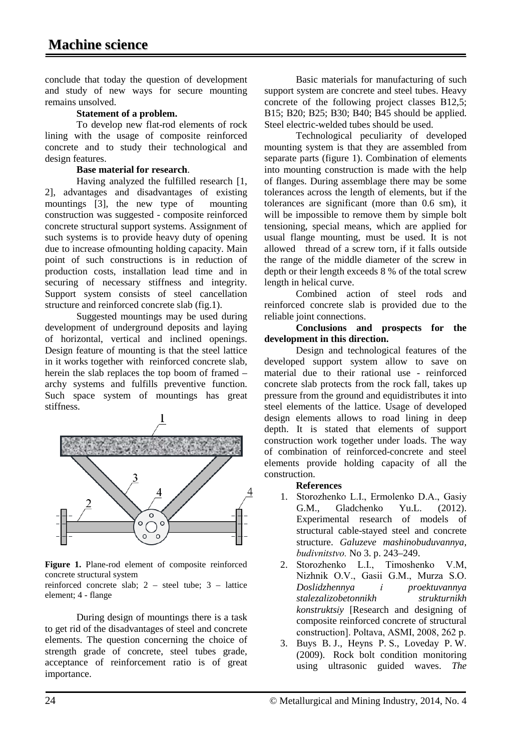conclude that today the question of development and study of new ways for secure mounting remains unsolved.

#### **Statement of a problem.**

To develop new flat-rod elements of rock lining with the usage of composite reinforced concrete and to study their technological and design features.

### **Base material for research**.

Having analyzed the fulfilled research [1, 2], advantages and disadvantages of existing mountings [3], the new type of mounting construction was suggested - composite reinforced concrete structural support systems. Assignment of such systems is to provide heavy duty of opening due to increase ofmounting holding capacity. Main point of such constructions is in reduction of production costs, installation lead time and in securing of necessary stiffness and integrity. Support system consists of steel cancellation structure and reinforced concrete slab (fig.1).

Suggested mountings may be used during development of underground deposits and laying of horizontal, vertical and inclined openings. Design feature of mounting is that the steel lattice in it works together with reinforced concrete slab, herein the slab replaces the top boom of framed – archy systems and fulfills preventive function. Such space system of mountings has great stiffness.



**Figure 1.** Plane-rod element of composite reinforced concrete structural system

reinforced concrete slab; 2 – steel tube; 3 – lattice element; 4 - flange

During design of mountings there is a task to get rid of the disadvantages of steel and concrete elements. The question concerning the choice of strength grade of concrete, steel tubes grade, acceptance of reinforcement ratio is of great importance.

Basic materials for manufacturing of such support system are concrete and steel tubes. Heavy concrete of the following project classes В12,5; В15; В20; В25; В30; В40; В45 should be applied. Steel electric-welded tubes should be used.

Technological peculiarity of developed mounting system is that they are assembled from separate parts (figure 1). Combination of elements into mounting construction is made with the help of flanges. During assemblage there may be some tolerances across the length of elements, but if the tolerances are significant (more than 0.6 sm), it will be impossible to remove them by simple bolt tensioning, special means, which are applied for usual flange mounting, must be used. It is not allowed thread of a screw torn, if it falls outside the range of the middle diameter of the screw in depth or their length exceeds 8 % of the total screw length in helical curve.

Combined action of steel rods and reinforced concrete slab is provided due to the reliable joint connections.

### **Conclusions and prospects for the development in this direction.**

Design and technological features of the developed support system allow to save on material due to their rational use - reinforced concrete slab protects from the rock fall, takes up pressure from the ground and equidistributes it into steel elements of the lattice. Usage of developed design elements allows to road lining in deep depth. It is stated that elements of support construction work together under loads. The way of combination of reinforced-concrete and steel elements provide holding capacity of all the construction.

## **References**

- 1. Storozhenko L.І., Ermolenko D.A., Gasіy G.M., Gladchenko Yu.L. (2012). Experimental research of models of structural cable-stayed steel and concrete structure. *Galuzeve mashinobuduvannya, budіvnitstvo.* No 3. p. 243–249.
- 2. Storozhenko L.І., Timoshenko V.M, Nizhnik O.V., Gasіi G.M., Murza S.O. *Doslіdzhennya і proektuvannya stalezalіzobetonnikh strukturnikh konstruktsіy* [Research and designing of composite reinforced concrete of structural construction]. Poltava, ASMІ, 2008, 262 p.
- 3. Buys B. J., Heyns Р. S., Loveday P. W. (2009). Rock bolt condition monitoring using ultrasonic guided waves. *The*